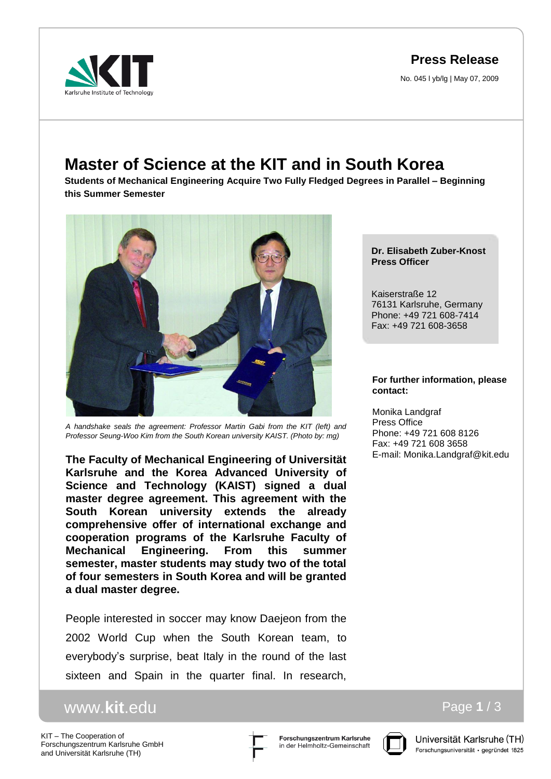**Press Release**

No. 045 l yb/lg | May 07, 2009



## **Master of Science at the KIT and in South Korea**

**Students of Mechanical Engineering Acquire Two Fully Fledged Degrees in Parallel – Beginning this Summer Semester**



*A handshake seals the agreement: Professor Martin Gabi from the KIT (left) and Professor Seung-Woo Kim from the South Korean university KAIST. (Photo by: mg)*

**The Faculty of Mechanical Engineering of Universität Karlsruhe and the Korea Advanced University of Science and Technology (KAIST) signed a dual master degree agreement. This agreement with the South Korean university extends the already comprehensive offer of international exchange and cooperation programs of the Karlsruhe Faculty of Mechanical Engineering. From this summer semester, master students may study two of the total of four semesters in South Korea and will be granted a dual master degree.** 

People interested in soccer may know Daejeon from the 2002 World Cup when the South Korean team, to everybody's surprise, beat Italy in the round of the last sixteen and Spain in the quarter final. In research,

## www.**kit**.edu

KIT – The Cooperation of Forschungszentrum Karlsruhe GmbH and Universität Karlsruhe (TH)





Universität Karlsruhe (TH) Forschungsuniversität · gegründet 1825

Page **1** / 3

**Dr. Elisabeth Zuber-Knost Press Officer**

Kaiserstraße 12 76131 Karlsruhe, Germany Phone: +49 721 608-7414 Fax: +49 721 608-3658

## **For further information, please contact:**

Monika Landgraf Press Office Phone: +49 721 608 8126 Fax: +49 721 608 3658 E-mail: Monika.Landgraf@kit.edu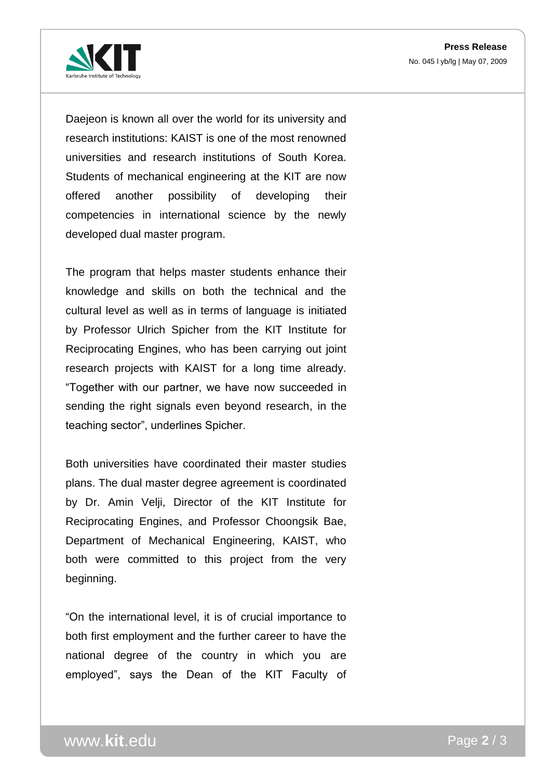

Daejeon is known all over the world for its university and research institutions: KAIST is one of the most renowned universities and research institutions of South Korea. Students of mechanical engineering at the KIT are now offered another possibility of developing their competencies in international science by the newly developed dual master program.

The program that helps master students enhance their knowledge and skills on both the technical and the cultural level as well as in terms of language is initiated by Professor Ulrich Spicher from the KIT Institute for Reciprocating Engines, who has been carrying out joint research projects with KAIST for a long time already. "Together with our partner, we have now succeeded in sending the right signals even beyond research, in the teaching sector", underlines Spicher.

Both universities have coordinated their master studies plans. The dual master degree agreement is coordinated by Dr. Amin Velji, Director of the KIT Institute for Reciprocating Engines, and Professor Choongsik Bae, Department of Mechanical Engineering, KAIST, who both were committed to this project from the very beginning.

"On the international level, it is of crucial importance to both first employment and the further career to have the national degree of the country in which you are employed", says the Dean of the KIT Faculty of